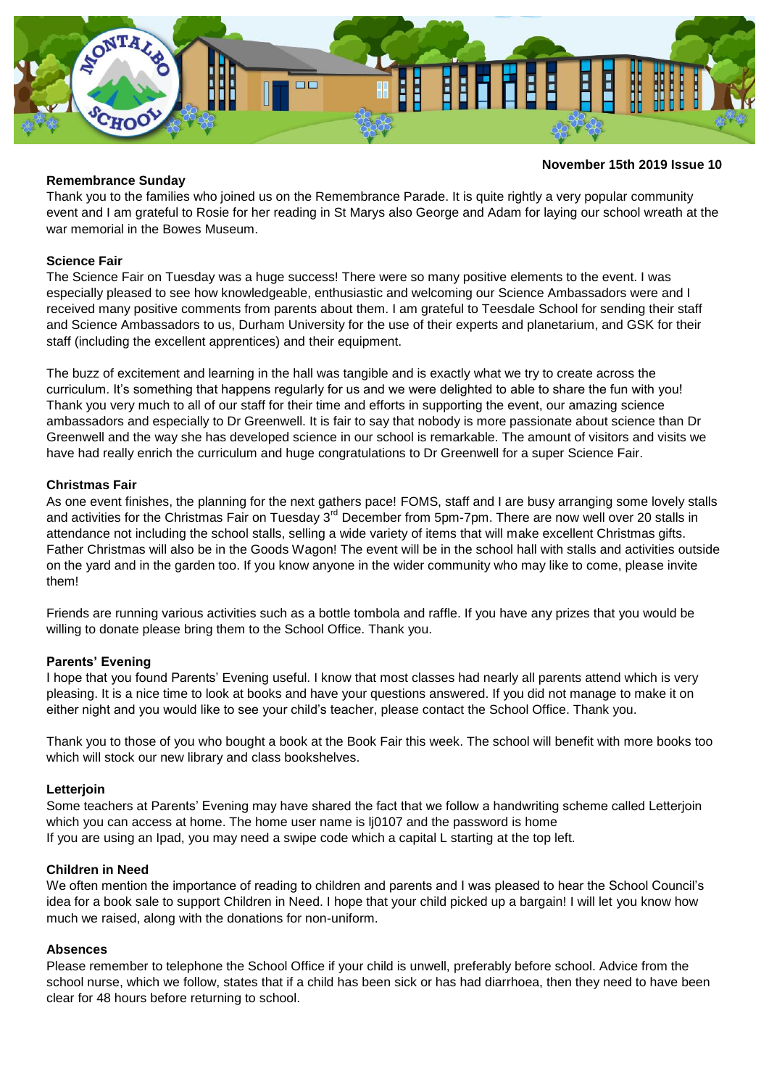

# **November 15th 2019 Issue 10**

#### **Remembrance Sunday**

Thank you to the families who joined us on the Remembrance Parade. It is quite rightly a very popular community event and I am grateful to Rosie for her reading in St Marys also George and Adam for laying our school wreath at the war memorial in the Bowes Museum.

## **Science Fair**

The Science Fair on Tuesday was a huge success! There were so many positive elements to the event. I was especially pleased to see how knowledgeable, enthusiastic and welcoming our Science Ambassadors were and I received many positive comments from parents about them. I am grateful to Teesdale School for sending their staff and Science Ambassadors to us, Durham University for the use of their experts and planetarium, and GSK for their staff (including the excellent apprentices) and their equipment.

The buzz of excitement and learning in the hall was tangible and is exactly what we try to create across the curriculum. It's something that happens regularly for us and we were delighted to able to share the fun with you! Thank you very much to all of our staff for their time and efforts in supporting the event, our amazing science ambassadors and especially to Dr Greenwell. It is fair to say that nobody is more passionate about science than Dr Greenwell and the way she has developed science in our school is remarkable. The amount of visitors and visits we have had really enrich the curriculum and huge congratulations to Dr Greenwell for a super Science Fair.

# **Christmas Fair**

As one event finishes, the planning for the next gathers pace! FOMS, staff and I are busy arranging some lovely stalls and activities for the Christmas Fair on Tuesday 3<sup>rd</sup> December from 5pm-7pm. There are now well over 20 stalls in attendance not including the school stalls, selling a wide variety of items that will make excellent Christmas gifts. Father Christmas will also be in the Goods Wagon! The event will be in the school hall with stalls and activities outside on the yard and in the garden too. If you know anyone in the wider community who may like to come, please invite them!

Friends are running various activities such as a bottle tombola and raffle. If you have any prizes that you would be willing to donate please bring them to the School Office. Thank you.

## **Parents' Evening**

I hope that you found Parents' Evening useful. I know that most classes had nearly all parents attend which is very pleasing. It is a nice time to look at books and have your questions answered. If you did not manage to make it on either night and you would like to see your child's teacher, please contact the School Office. Thank you.

Thank you to those of you who bought a book at the Book Fair this week. The school will benefit with more books too which will stock our new library and class bookshelves.

## **Letterjoin**

Some teachers at Parents' Evening may have shared the fact that we follow a handwriting scheme called Letterjoin which you can access at home. The home user name is lj0107 and the password is home If you are using an Ipad, you may need a swipe code which a capital L starting at the top left.

## **Children in Need**

We often mention the importance of reading to children and parents and I was pleased to hear the School Council's idea for a book sale to support Children in Need. I hope that your child picked up a bargain! I will let you know how much we raised, along with the donations for non-uniform.

## **Absences**

Please remember to telephone the School Office if your child is unwell, preferably before school. Advice from the school nurse, which we follow, states that if a child has been sick or has had diarrhoea, then they need to have been clear for 48 hours before returning to school.